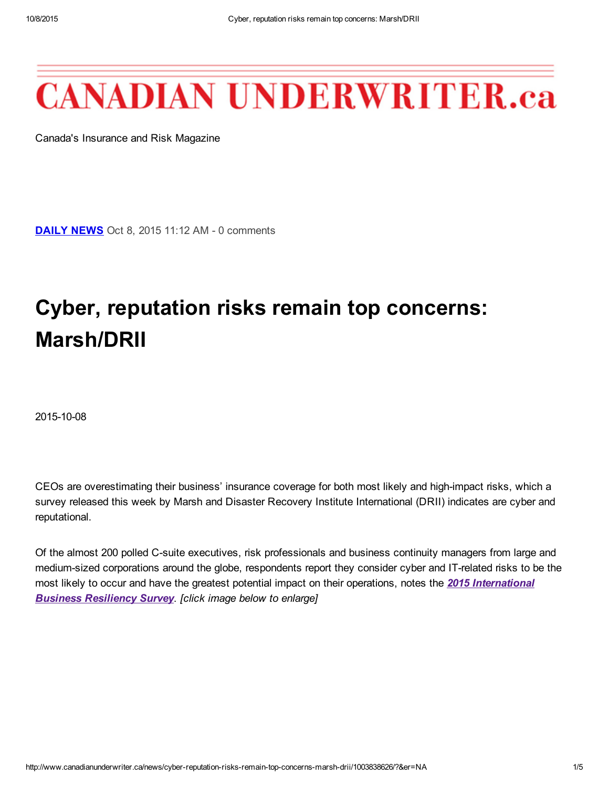# **CANADIAN UNDERWRITER.ca**

Canada's Insurance and Risk Magazine

**[DAILY](http://www.canadianunderwriter.ca/headlines.aspx) NEWS** Oct 8, 2015 11:12 AM - 0 comments

## Cyber, reputation risks remain top concerns: Marsh/DRII

2015-10-08

CEOs are overestimating their business' insurance coverage for both most likely and high-impact risks, which a survey released this week by Marsh and Disaster Recovery Institute International (DRII) indicates are cyber and reputational.

Of the almost 200 polled C-suite executives, risk professionals and business continuity managers from large and medium-sized corporations around the globe, respondents report they consider cyber and IT-related risks to be the most likely to occur and have the greatest potential impact on their operations, notes the *2015 [International](http://uk.marsh.com/Portals/18/Documents/International%20Business%20Resilience%20Survey%202015-10-2015.pdf) Business Resiliency Survey*. *[click image below to enlarge]*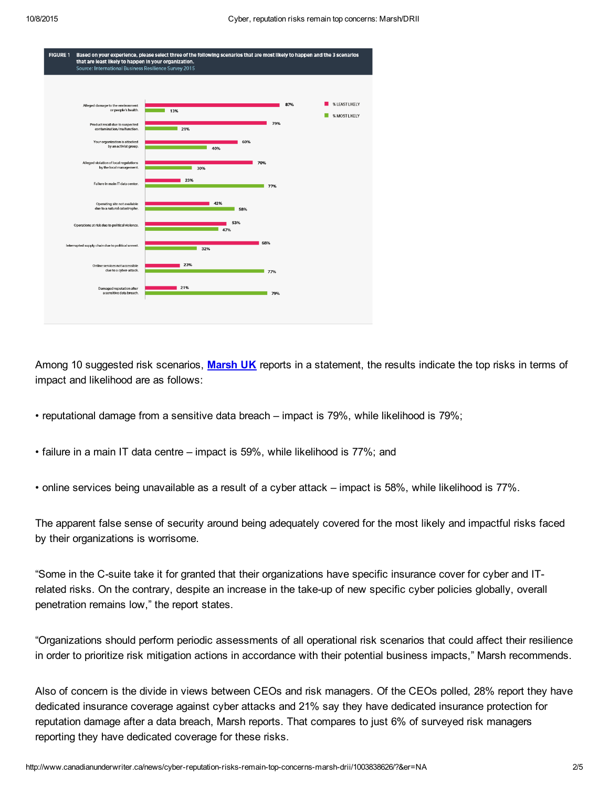

Among 10 suggested risk scenarios, [Marsh](http://uk.marsh.com/) UK reports in a statement, the results indicate the top risks in terms of impact and likelihood are as follows:

- reputational damage from a sensitive data breach impact is 79%, while likelihood is 79%;
- failure in a main IT data centre impact is 59%, while likelihood is 77%; and
- online services being unavailable as a result of a cyber attack impact is 58%, while likelihood is 77%.

The apparent false sense of security around being adequately covered for the most likely and impactful risks faced by their organizations is worrisome.

"Some in the C-suite take it for granted that their organizations have specific insurance cover for cyber and ITrelated risks. On the contrary, despite an increase in the take-up of new specific cyber policies globally, overall penetration remains low," the report states.

"Organizations should perform periodic assessments of all operational risk scenarios that could affect their resilience in order to prioritize risk mitigation actions in accordance with their potential business impacts," Marsh recommends.

Also of concern is the divide in views between CEOs and risk managers. Of the CEOs polled, 28% report they have dedicated insurance coverage against cyber attacks and 21% say they have dedicated insurance protection for reputation damage after a data breach, Marsh reports. That compares to just 6% of surveyed risk managers reporting they have dedicated coverage for these risks.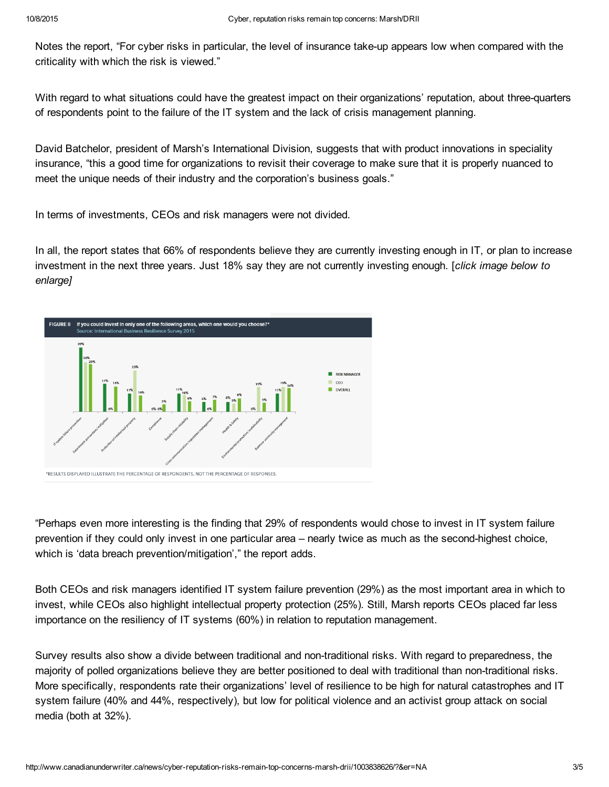Notes the report, "For cyber risks in particular, the level of insurance take-up appears low when compared with the criticality with which the risk is viewed."

With regard to what situations could have the greatest impact on their organizations' reputation, about three-quarters of respondents point to the failure of the IT system and the lack of crisis management planning.

David Batchelor, president of Marsh's International Division, suggests that with product innovations in speciality insurance, "this a good time for organizations to revisit their coverage to make sure that it is properly nuanced to meet the unique needs of their industry and the corporation's business goals."

In terms of investments, CEOs and risk managers were not divided.

In all, the report states that 66% of respondents believe they are currently investing enough in IT, or plan to increase investment in the next three years. Just 18% say they are not currently investing enough. [*click image below to enlarge]*



"Perhaps even more interesting is the finding that 29% of respondents would chose to invest in IT system failure prevention if they could only invest in one particular area – nearly twice as much as the secondhighest choice, which is 'data breach prevention/mitigation'," the report adds.

Both CEOs and risk managers identified IT system failure prevention (29%) as the most important area in which to invest, while CEOs also highlight intellectual property protection (25%). Still, Marsh reports CEOs placed far less importance on the resiliency of IT systems (60%) in relation to reputation management.

Survey results also show a divide between traditional and non-traditional risks. With regard to preparedness, the majority of polled organizations believe they are better positioned to deal with traditional than non-traditional risks. More specifically, respondents rate their organizations' level of resilience to be high for natural catastrophes and IT system failure (40% and 44%, respectively), but low for political violence and an activist group attack on social media (both at 32%).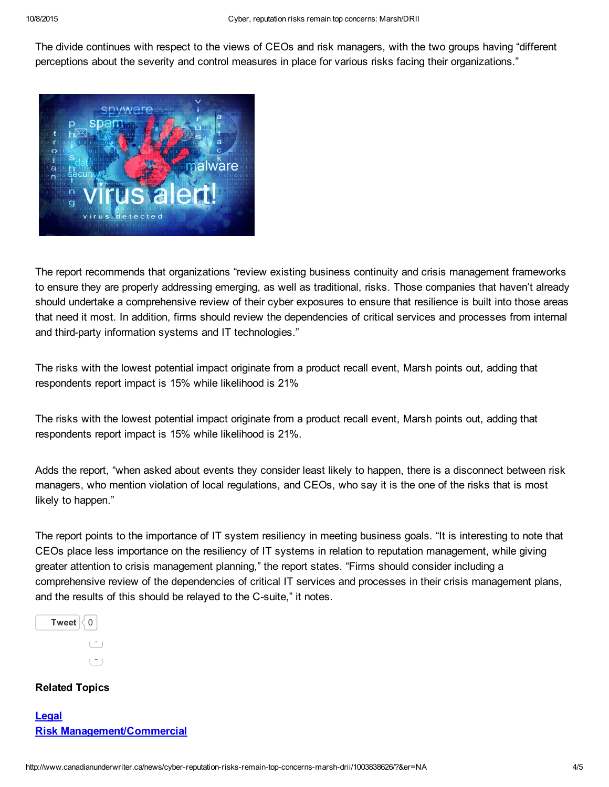The divide continues with respect to the views of CEOs and risk managers, with the two groups having "different perceptions about the severity and control measures in place for various risks facing their organizations."



The report recommends that organizations "review existing business continuity and crisis management frameworks to ensure they are properly addressing emerging, as well as traditional, risks. Those companies that haven't already should undertake a comprehensive review of their cyber exposures to ensure that resilience is built into those areas that need it most. In addition, firms should review the dependencies of critical services and processes from internal and third-party information systems and IT technologies."

The risks with the lowest potential impact originate from a product recall event, Marsh points out, adding that respondents report impact is 15% while likelihood is 21%

The risks with the lowest potential impact originate from a product recall event, Marsh points out, adding that respondents report impact is 15% while likelihood is 21%.

Adds the report, "when asked about events they consider least likely to happen, there is a disconnect between risk managers, who mention violation of local regulations, and CEOs, who say it is the one of the risks that is most likely to happen."

The report points to the importance of IT system resiliency in meeting business goals. "It is interesting to note that CEOs place less importance on the resiliency of IT systems in relation to reputation management, while giving greater attention to crisis management planning," the report states. "Firms should consider including a comprehensive review of the dependencies of critical IT services and processes in their crisis management plans, and the results of this should be relayed to the C-suite," it notes.

| <b>Tweet</b><br>N |  |
|-------------------|--|
|                   |  |
|                   |  |

### Related Topics

| Legal                             |  |
|-----------------------------------|--|
| <b>Risk Management/Commercial</b> |  |